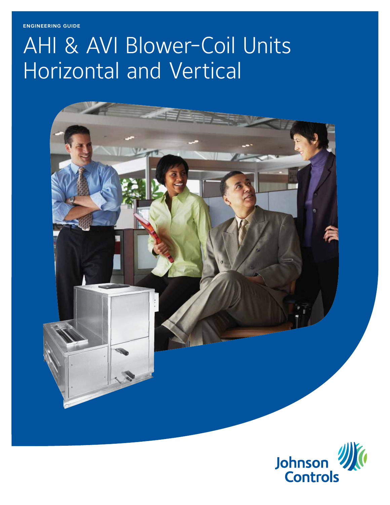engineering guide

# AHI & AVI Blower-Coil Units Horizontal and Vertical



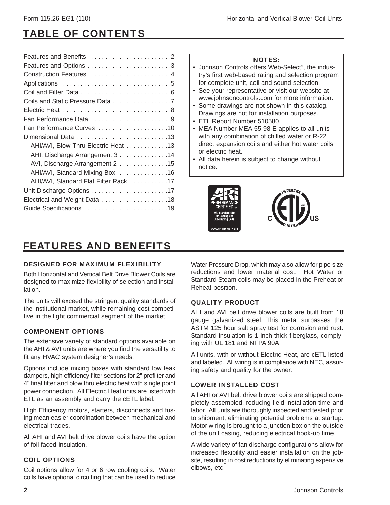### TABLE OF CONTENTS

### NOTES:

- Johnson Controls offers Web-Select®, the industry's first web-based rating and selection program for complete unit, coil and sound selection.
- See your representative or visit our website at www.johnsoncontrols.com for more information.
- Some drawings are not shown in this catalog.
- Drawings are not for installation purposes. • ETL Report Number 510580.
- MEA Number MEA 55-98-E applies to all units with any combination of chilled water or R-22 direct expansion coils and either hot water coils or electric heat.
- All data herein is subject to change without notice.





### FEATURES AND BENEFITS

### DESIGNED FOR MAXIMUM FLEXIBILITY

Both Horizontal and Vertical Belt Drive Blower Coils are designed to maximize flexibility of selection and installation.

The units will exceed the stringent quality standards of the institutional market, while remaining cost competitive in the light commercial segment of the market.

### COMPONENT OPTIONS

The extensive variety of standard options available on the AHI & AVI units are where you find the versatility to fit any HVAC system designer's needs.

Options include mixing boxes with standard low leak dampers, high efficiency filter sections for 2" prefilter and 4" final filter and blow thru electric heat with single point power connection. All Electric Heat units are listed with ETL as an assembly and carry the cETL label.

High Efficiency motors, starters, disconnects and fusing mean easier coordination between mechanical and electrical trades.

All AHI and AVI belt drive blower coils have the option of foil faced insulation.

### COIL OPTIONS

Coil options allow for 4 or 6 row cooling coils. Water coils have optional circuiting that can be used to reduce

Water Pressure Drop, which may also allow for pipe size reductions and lower material cost. Hot Water or Standard Steam coils may be placed in the Preheat or Reheat position.

### QUALITY PRODUCT

AHI and AVI belt drive blower coils are built from 18 gauge galvanized steel. This metal surpasses the ASTM 125 hour salt spray test for corrosion and rust. Standard insulation is 1 inch thick fiberglass, complying with UL 181 and NFPA 90A.

All units, with or without Electric Heat, are cETL listed and labeled. All wiring is in compliance with NEC, assuring safety and quality for the owner.

### LOWER INSTALLED COST

All AHI or AVI belt drive blower coils are shipped completely assembled, reducing field installation time and labor. All units are thoroughly inspected and tested prior to shipment, eliminating potential problems at startup. Motor wiring is brought to a junction box on the outside of the unit casing, reducing electrical hook-up time.

A wide variety of fan discharge configurations allow for increased flexibility and easier installation on the jobsite, resulting in cost reductions by eliminating expensive elbows, etc.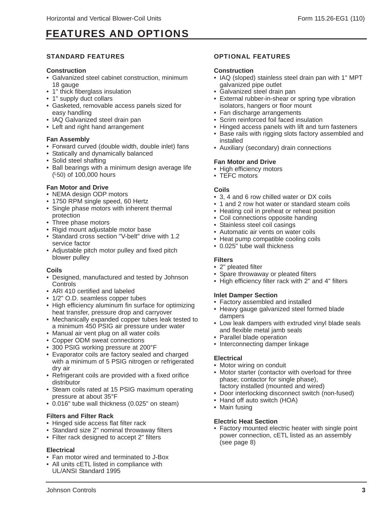### FEATURES AND OPTIONS

### STANDARD FEATURES

### **Construction**

- Galvanized steel cabinet construction, minimum 18 gauge
- 1" thick fiberglass insulation
- 1" supply duct collars
- Gasketed, removable access panels sized for easy handling
- IAQ Galvanized steel drain pan
- Left and right hand arrangement

### **Fan Assembly**

- Forward curved (double width, double inlet) fans
- Statically and dynamically balanced
- Solid steel shafting
- Ball bearings with a minimum design average life (L50) of 100,000 hours

### **Fan Motor and Drive**

- NEMA design ODP motors
- 1750 RPM single speed, 60 Hertz
- Single phase motors with inherent thermal protection
- Three phase motors
- Rigid mount adjustable motor base
- Standard cross section "V-belt" drive with 1.2 service factor
- Adjustable pitch motor pulley and fixed pitch blower pulley

### **Coils**

- Designed, manufactured and tested by Johnson **Controls**
- ARI 410 certified and labeled
- 1/2" O.D. seamless copper tubes
- High efficiency aluminum fin surface for optimizing heat transfer, pressure drop and carryover
- Mechanically expanded copper tubes leak tested to a minimum 450 PSIG air pressure under water
- Manual air vent plug on all water coils
- Copper ODM sweat connections
- 300 PSIG working pressure at 200°F
- Evaporator coils are factory sealed and charged with a minimum of 5 PSIG nitrogen or refrigerated dry air
- Refrigerant coils are provided with a fixed orifice distributor
- Steam coils rated at 15 PSIG maximum operating pressure at about 35°F
- 0.016" tube wall thickness (0.025" on steam)

### **Filters and Filter Rack**

- Hinged side access flat filter rack
- Standard size 2" nominal throwaway filters
- Filter rack designed to accept 2" filters

### **Electrical**

- Fan motor wired and terminated to J-Box
- All units cETL listed in compliance with UL/ANSI Standard 1995

### OPTIONAL FEATURES

### **Construction**

- IAQ (sloped) stainless steel drain pan with 1" MPT galvanized pipe outlet
- Galvanized steel drain pan
- External rubber-in-shear or spring type vibration isolators, hangers or floor mount
- Fan discharge arrangements
- Scrim reinforced foil faced insulation
- Hinged access panels with lift and turn fasteners
- Base rails with rigging slots factory assembled and installed
- Auxiliary (secondary) drain connections

### **Fan Motor and Drive**

- High efficiency motors
- TEFC motors

### **Coils**

- 3, 4 and 6 row chilled water or DX coils
- 1 and 2 row hot water or standard steam coils
- Heating coil in preheat or reheat position
- Coil connections opposite handing
- Stainless steel coil casings
- Automatic air vents on water coils
- Heat pump compatible cooling coils
- 0.025" tube wall thickness

### **Filters**

- 2" pleated filter
- Spare throwaway or pleated filters
- High efficiency filter rack with 2" and 4" filters

### **Inlet Damper Section**

- Factory assembled and installed
- Heavy gauge galvanized steel formed blade dampers
- Low leak dampers with extruded vinyl blade seals and flexible metal jamb seals
- Parallel blade operation
- Interconnecting damper linkage

#### **Electrical**

- Motor wiring on conduit
- Motor starter (contactor with overload for three phase; contactor for single phase), factory installed (mounted and wired)
- Door interlocking disconnect switch (non-fused)
- Hand off auto switch (HOA)
- Main fusing

#### **Electric Heat Section**

• Factory mounted electric heater with single point power connection, cETL listed as an assembly (see page 8)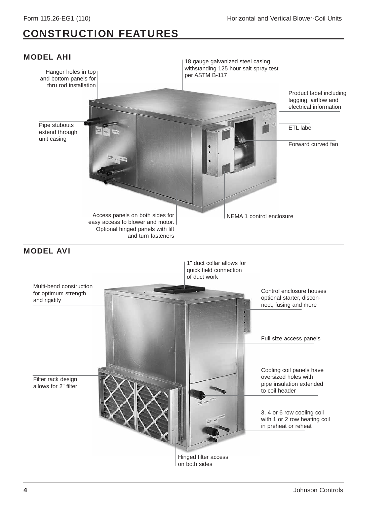### CONSTRUCTION FEATURES

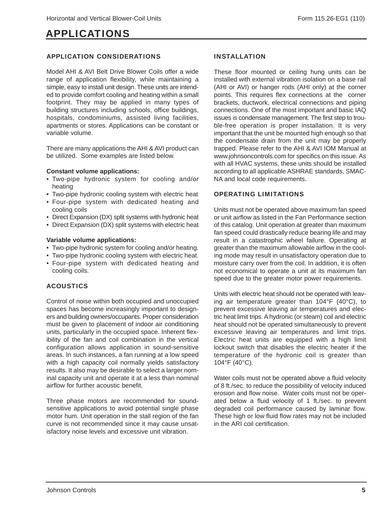### APPLICATIONS

### APPLICATION CONSIDERATIONS

Model AHI & AVI Belt Drive Blower Coils offer a wide range of application flexibility, while maintaining a simple, easy to install unit design. These units are intended to provide comfort cooling and heating within a small footprint. They may be applied in many types of building structures including schools, office buildings, hospitals, condominiums, assisted living facilities, apartments or stores. Applications can be constant or variable volume.

There are many applications the AHI & AVI product can be utilized. Some examples are listed below.

### **Constant volume applications:**

- Two-pipe hydronic system for cooling and/or heating
- Two-pipe hydronic cooling system with electric heat
- Four-pipe system with dedicated heating and cooling coils
- Direct Expansion (DX) split systems with hydronic heat
- Direct Expansion (DX) split systems with electric heat

### **Variable volume applications:**

- Two-pipe hydronic system for cooling and/or heating.
- Two-pipe hydronic cooling system with electric heat.
- Four-pipe system with dedicated heating and cooling coils.

### ACOUSTICS

Control of noise within both occupied and unoccupied spaces has become increasingly important to designers and building owners/occupants. Proper consideration must be given to placement of indoor air conditioning units, particularly in the occupied space. Inherent flexibility of the fan and coil combination in the vertical configuration allows application in sound-sensitive areas. In such instances, a fan running at a low speed with a high capacity coil normally yields satisfactory results. It also may be desirable to select a larger nominal capacity unit and operate it at a less than nominal airflow for further acoustic benefit.

Three phase motors are recommended for soundsensitive applications to avoid potential single phase motor hum. Unit operation in the stall region of the fan curve is not recommended since it may cause unsatisfactory noise levels and excessive unit vibration.

### INSTALLATION

These floor mounted or ceiling hung units can be installed with external vibration isolation on a base rail (AHI or AVI) or hanger rods (AHI only) at the corner points. This requires flex connections at the corner brackets, ductwork, electrical connections and piping connections. One of the most important and basic IAQ issues is condensate management. The first step to trouble-free operation is proper installation. It is very important that the unit be mounted high enough so that the condensate drain from the unit may be properly trapped. Please refer to the AHI & AVI IOM Manual at www.johnsoncontrols.com for specifics on this issue. As with all HVAC systems, these units should be installed according to all applicable ASHRAE standards, SMAC-NA and local code requirements.

### OPERATING LIMITATIONS

Units must not be operated above maximum fan speed or unit airflow as listed in the Fan Performance section of this catalog. Unit operation at greater than maximum fan speed could drastically reduce bearing life and may result in a catastrophic wheel failure. Operating at greater than the maximum allowable airflow in the cooling mode may result in unsatisfactory operation due to moisture carry over from the coil. In addition, it is often not economical to operate a unit at its maximum fan speed due to the greater motor power requirements.

Units with electric heat should not be operated with leaving air temperature greater than 104°F (40°C), to prevent excessive leaving air temperatures and electric heat limit trips. A hydronic (or steam) coil and electric heat should not be operated simultaneously to prevent excessive leaving air temperatures and limit trips. Electric heat units are equipped with a high limit lockout switch that disables the electric heater if the temperature of the hydronic coil is greater than 104°F (40°C).

Water coils must not be operated above a fluid velocity of 8 ft./sec. to reduce the possibility of velocity induced erosion and flow noise. Water coils must not be operated below a fluid velocity of 1 ft./sec. to prevent degraded coil performance caused by laminar flow. These high or low fluid flow rates may not be included in the ARI coil certification.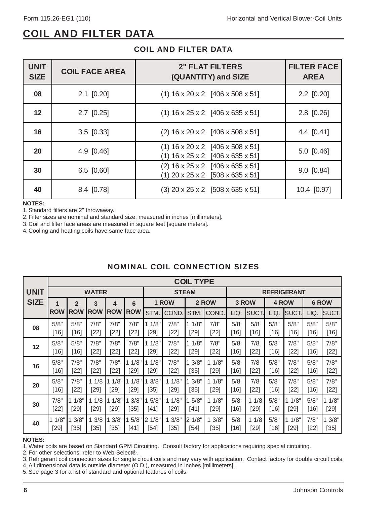### COIL AND FILTER DATA

| <b>UNIT</b><br><b>SIZE</b> | <b>COIL FACE AREA</b> | <b>2" FLAT FILTERS</b><br>(QUANTITY) and SIZE                            | <b>FILTER FACE</b><br><b>AREA</b> |
|----------------------------|-----------------------|--------------------------------------------------------------------------|-----------------------------------|
| 08                         | $2.1$ [0.20]          | $(1)$ 16 x 20 x 2 [406 x 508 x 51]                                       | $2.2$ [0.20]                      |
| 12                         | $2.7$ [0.25]          | $(1)$ 16 x 25 x 2 [406 x 635 x 51]                                       | $2.8$ [0.26]                      |
| 16                         | $3.5$ [0.33]          | $(2)$ 16 x 20 x 2 [406 x 508 x 51]                                       | 4.4 $[0.41]$                      |
| <b>20</b>                  | $4.9$ [0.46]          | $(1)$ 16 x 20 x 2 [406 x 508 x 51]<br>$(1)$ 16 x 25 x 2 [406 x 635 x 51] | $5.0$ [0.46]                      |
| 30                         | $6.5$ [0.60]          | $(2)$ 16 x 25 x 2 [406 x 635 x 51]<br>$(1)$ 20 x 25 x 2 [508 x 635 x 51] | $9.0$ [0.84]                      |
| 40                         | 8.4 [0.78]            | $(3)$ 20 x 25 x 2 [508 x 635 x 51]                                       | 10.4 [0.97]                       |

### COIL AND FILTER DATA

#### **NOTES:**

1. Standard filters are 2" throwaway.

2. Filter sizes are nominal and standard size, measured in inches [millimeters].

3. Coil and filter face areas are measured in square feet [square meters].

4. Cooling and heating coils have same face area.

|             |            |                |              |            |            |        |        | <b>COIL TYPE</b> |        |        |             |        |                    |        |        |
|-------------|------------|----------------|--------------|------------|------------|--------|--------|------------------|--------|--------|-------------|--------|--------------------|--------|--------|
| <b>UNIT</b> |            |                | <b>WATER</b> |            |            |        |        | <b>STEAM</b>     |        |        |             |        | <b>REFRIGERANT</b> |        |        |
| <b>SIZE</b> | 1          | $\overline{2}$ | 3            | 4          | 6          |        | 1 ROW  |                  | 2 ROW  |        | 3 ROW       |        | 4 ROW              |        | 6 ROW  |
|             | <b>ROW</b> | <b>ROW</b>     | <b>ROW</b>   | <b>ROW</b> | <b>ROW</b> | STM.   | COND.  | STM.             | COND.  | LIQ.   | <b>SUCT</b> | LIQ.   | SUCT.              | LIQ.   | SUCT.  |
| 08          | 5/8"       | 5/8"           | 7/8"         | 7/8"       | 7/8"       | 1/8"   | 7/8"   | 1/8"             | 7/8"   | 5/8    | 5/8         | 5/8"   | 5/8"               | 5/8"   | 5/8"   |
|             | $[16]$     | [16]           | $[22]$       | $[22]$     | $[22]$     | [29]   | $[22]$ | $[29]$           | $[22]$ | [16]   | [16]        | $[16]$ | [16]               | $[16]$ | $[16]$ |
| 12          | 5/8"       | 5/8"           | 7/8"         | 7/8"       | 7/8"       | 1/8"   | 7/8"   | 11/8"            | 7/8"   | 5/8    | 7/8         | 5/8"   | 7/8"               | 5/8"   | 7/8"   |
|             | [16]       | [16]           | [22]         | $[22]$     | $[22]$     | [29]   | $[22]$ | [29]             | $[22]$ | [16]   | [22]        | $[16]$ | [22]               | $[16]$ | $[22]$ |
| 16          | 5/8"       | 7/8"           | 7/8"         | 7/8"       | 1/8"       | 1/8"   | 7/8"   | 3/8"             | 11/8"  | 5/8    | 7/8         | 5/8"   | 7/8"               | 5/8"   | 7/8"   |
|             | $[16]$     | $[22]$         | $[22]$       | $[22]$     | [29]       | [29]   | $[22]$ | [35]             | [29]   | [16]   | $[22]$      | $[16]$ | $[22]$             | $[16]$ | $[22]$ |
| 20          | 5/8"       | 7/8"           | 11/8         | 1/8"       | 1/8"       | 3/8"   | 11/8"  | 3/8"             | 11/8"  | 5/8    | 7/8         | 5/8"   | 7/8"               | 5/8"   | 7/8"   |
|             | $[16]$     | $[22]$         | $[29]$       | $[29]$     | $[29]$     | $[35]$ | [29]   | $[35]$           | [29]   | [16]   | $[22]$      | $[16]$ | $[22]$             | $[16]$ | $[22]$ |
| 30          | 7/8"       | 1/8"           | 11/8         | 1/8"       | 3/8"       | 5/8"   | 11/8"  | 5/8"             | 11/8"  | 5/8    | 11/8        | 5/8"   | 1/8"               | 5/8"   | 1/8"   |
|             | $[22]$     | [29]           | [29]         | [29]       | [35]       | $[41]$ | [29]   | $[41]$           | [29]   | $[16]$ | [29]        | $[16]$ | $[29]$             | $[16]$ | $[29]$ |
| 40          | 1/8"       | 3/8"           | 13/8         | 3/8"       | 5/8"       | 21/8"  | 3/8"   | 21/8"            | 13/8"  | 5/8    | 11/8        | 5/8"   | 1/8"               | 7/8"   | 3/8"   |
|             | [29]       | [35]           | $35$         | [35]       | [41]       | [54]   | 35     | [54]             | $[35]$ | [16]   | [29]        | [16]   | [29]               | $[22]$ | $[35]$ |

### NOMINAL COIL CONNECTION SIZES

#### **NOTES:**

1. Water coils are based on Standard GPM Circuiting. Consult factory for applications requiring special circuiting.

2. For other selections, refer to Web-Select®.

3. Refrigerant coil connection sizes for single circuit coils and may vary with application. Contact factory for double circuit coils.

4. All dimensional data is outside diameter (O.D.), measured in inches [millimeters].

5. See page 3 for a list of standard and optional features of coils.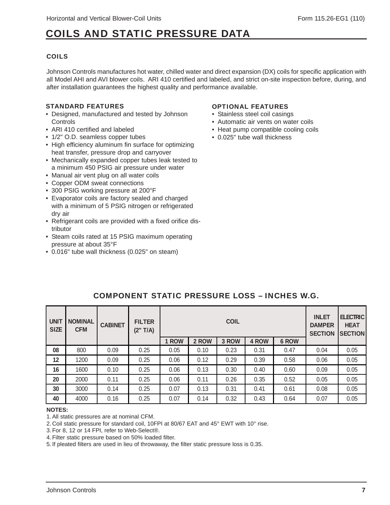### COILS AND STATIC PRESSURE DATA

### COILS

Johnson Controls manufactures hot water, chilled water and direct expansion (DX) coils for specific application with all Model AHI and AVI blower coils. ARI 410 certified and labeled, and strict on-site inspection before, during, and after installation guarantees the highest quality and performance available.

### STANDARD FEATURES

- Designed, manufactured and tested by Johnson Controls
- ARI 410 certified and labeled
- 1/2" O.D. seamless copper tubes
- High efficiency aluminum fin surface for optimizing heat transfer, pressure drop and carryover
- Mechanically expanded copper tubes leak tested to a minimum 450 PSIG air pressure under water
- Manual air vent plug on all water coils
- Copper ODM sweat connections
- 300 PSIG working pressure at 200°F
- Evaporator coils are factory sealed and charged with a minimum of 5 PSIG nitrogen or refrigerated dry air
- Refrigerant coils are provided with a fixed orifice distributor
- Steam coils rated at 15 PSIG maximum operating pressure at about 35°F
- 0.016" tube wall thickness (0.025" on steam)

#### OPTIONAL FEATURES

- Stainless steel coil casings
- Automatic air vents on water coils
- Heat pump compatible cooling coils
- 0.025" tube wall thickness

| <b>UNIT</b><br><b>SIZE</b> | <b>NOMINAL</b><br><b>CFM</b> | <b>CABINET</b> | <b>FILTER</b><br>$T/A$ )<br>(2" |       |       | <b>INLET</b><br><b>DAMPER</b><br><b>SECTION</b> | <b>ELECTRIC</b><br><b>HEAT</b><br><b>SECTION</b> |              |      |      |
|----------------------------|------------------------------|----------------|---------------------------------|-------|-------|-------------------------------------------------|--------------------------------------------------|--------------|------|------|
|                            |                              |                |                                 | 1 ROW | 2 ROW | 3 ROW                                           | 4 ROW                                            | <b>6 ROW</b> |      |      |
| 08                         | 800                          | 0.09           | 0.25                            | 0.05  | 0.10  | 0.23                                            | 0.31                                             | 0.47         | 0.04 | 0.05 |
| 12                         | 1200                         | 0.09           | 0.25                            | 0.06  | 0.12  | 0.29                                            | 0.39                                             | 0.58         | 0.06 | 0.05 |
| 16                         | 1600                         | 0.10           | 0.25                            | 0.06  | 0.13  | 0.30                                            | 0.40                                             | 0.60         | 0.09 | 0.05 |
| 20                         | 2000                         | 0.11           | 0.25                            | 0.06  | 0.11  | 0.26                                            | 0.35                                             | 0.52         | 0.05 | 0.05 |
| 30                         | 3000                         | 0.14           | 0.25                            | 0.07  | 0.13  | 0.31                                            | 0.41                                             | 0.61         | 0.08 | 0.05 |
| 40                         | 4000                         | 0.16           | 0.25                            | 0.07  | 0.14  | 0.32                                            | 0.43                                             | 0.64         | 0.07 | 0.05 |

### COMPONENT STATIC PRESSURE LOSS – INCHES W.G.

#### **NOTES:**

1. All static pressures are at nominal CFM.

2. Coil static pressure for standard coil, 10FPI at 80/67 EAT and 45° EWT with 10° rise.

3. For 8, 12 or 14 FPI, refer to Web-Select®.

4. Filter static pressure based on 50% loaded filter.

5. If pleated filters are used in lieu of throwaway, the filter static pressure loss is 0.35.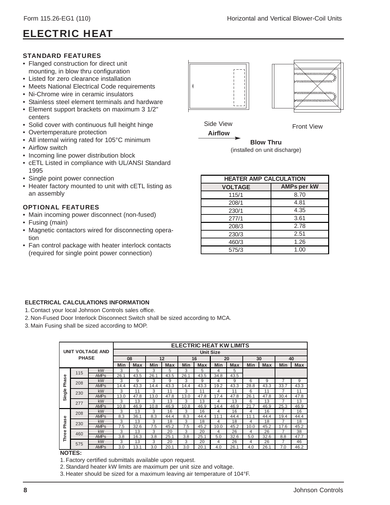### ELECTRIC HEAT

### STANDARD FEATURES

- Flanged construction for direct unit mounting, in blow thru configuration
- Listed for zero clearance installation
- Meets National Electrical Code requirements
- Ni-Chrome wire in ceramic insulators
- Stainless steel element terminals and hardware
- Element support brackets on maximum 3 1/2" centers
- Solid cover with continuous full height hinge
- Overtemperature protection
- All internal wiring rated for 105°C minimum
- Airflow switch
- Incoming line power distribution block
- cETL Listed in compliance with UL/ANSI Standard 1995
- Single point power connection
- Heater factory mounted to unit with cETL listing as an assembly

### OPTIONAL FEATURES

- Main incoming power disconnect (non-fused)
- Fusing (main)
- Magnetic contactors wired for disconnecting operation
- Fan control package with heater interlock contacts (required for single point power connection)



Side View **Front View** 



**Blow Thru** (installed on unit discharge)

| <b>HEATER AMP CALCULATION</b>        |      |  |  |  |  |  |  |  |  |  |
|--------------------------------------|------|--|--|--|--|--|--|--|--|--|
| <b>AMPs per kW</b><br><b>VOLTAGE</b> |      |  |  |  |  |  |  |  |  |  |
| 115/1                                | 8.70 |  |  |  |  |  |  |  |  |  |
| 208/1                                | 4.81 |  |  |  |  |  |  |  |  |  |
| 230/1                                | 4.35 |  |  |  |  |  |  |  |  |  |
| 277/1                                | 3.61 |  |  |  |  |  |  |  |  |  |
| 208/3                                | 2.78 |  |  |  |  |  |  |  |  |  |
| 230/3                                | 2.51 |  |  |  |  |  |  |  |  |  |
| 460/3                                | 1.26 |  |  |  |  |  |  |  |  |  |
| 575/3                                | 1.00 |  |  |  |  |  |  |  |  |  |

### **ELECTRICAL CALCULATIONS INFORMATION**

- 1. Contact your local Johnson Controls sales office.
- 2. Non-Fused Door Interlock Disconnect Switch shall be sized according to MCA.
- 3. Main Fusing shall be sized according to MOP.

|                  |              |                         |      |      |      |      |      |                  | <b>ELECTRIC HEAT KW LIMITS</b> |      |      |      |      |            |
|------------------|--------------|-------------------------|------|------|------|------|------|------------------|--------------------------------|------|------|------|------|------------|
|                  |              | <b>UNIT VOLTAGE AND</b> |      |      |      |      |      | <b>Unit Size</b> |                                |      |      |      |      |            |
|                  | <b>PHASE</b> |                         | 08   |      | 12   |      | 16   |                  | 20                             |      | 30   |      | 40   |            |
|                  |              |                         | Min  | Max  | Min  | Max  | Min  | Max              | Min                            | Max  | Min  | Max  | Min  | <b>Max</b> |
|                  | 115          | kW                      | 3    | 5    | 3    | 5    | 3    | 5                | 4                              | 5    |      |      |      |            |
|                  |              | <b>AMP<sub>S</sub></b>  | 26.1 | 43.5 | 26.1 | 43.5 | 26.1 | 43.5             | 34.8                           | 43.5 |      |      |      |            |
| hase             | 208          | kW                      | 3    | 9    | 3    | 9    | 3    | 9                | 4                              | 9    | 6    | 9    | 7    | 9          |
| $\sim$<br>Single |              | <b>AMPs</b>             | 14.4 | 43.3 | 14.4 | 43.3 | 14.4 | 43.3             | 19.2                           | 43.3 | 28.8 | 43.3 | 33.7 | 43.3       |
|                  | 230          | kW                      | 3    | 11   | 3    | 11   | 3    | 11               | 4                              | 11   | 6    | 11   |      | 11         |
|                  |              | <b>AMPs</b>             | 13.0 | 47.8 | 13.0 | 47.8 | 13.0 | 47.8             | 17.4                           | 47.8 | 26.1 | 47.8 | 30.4 | 47.8       |
|                  | 277          | <b>kW</b>               | 3    | 13   | 3    | 13   | 3    | 13               | 4                              | 13   | 6    | 13   | 7    | 13         |
|                  |              | <b>AMP<sub>S</sub></b>  | 10.8 | 46.9 | 10.8 | 46.9 | 10.8 | 46.9             | 14.4                           | 46.9 | 21   | 46.9 | 25.3 | 46.9       |
|                  | 208          | <b>kW</b>               | 3    | 13   | 3    | 16   | 3    | 16               | 4                              | 16   | 4    | 16   |      | 16         |
|                  |              | <b>AMPs</b>             | 8.3  | 36.1 | 8.3  | 44.4 | 8.3  | 44.4             | 11.1                           | 44.4 | 11.1 | 44.4 | 19.4 | 44.4       |
| hase             | 230          | <b>kW</b>               | 3    | 13   | 3    | 18   | 3    | 18               | 4                              | 18   | 4    | 18   | 7    | 18         |
| $\Omega$         |              | <b>AMPs</b>             | 7.5  | 32.6 | 7.5  | 45.2 | 7.5  | 45.2             | 10.0                           | 45.2 | 10.0 | 45.2 | 17.6 | 45.2       |
|                  | 460          | <b>kW</b>               | 3    | 13   | 3    | 20   | 3    | 20               | 4                              | 26   | 4    | 26   |      | 38         |
| Three            |              | <b>AMPs</b>             | 3.8  | 16.3 | 3.8  | 25.1 | 3.8  | 25.1             | 5.0                            | 32.6 | 5.0  | 32.6 | 8.8  | 47.7       |
|                  | 575          | <b>kW</b>               | 3    | 13   | 3    | 20   | 3    | 20               | 4                              | 26   | 4    | 26   | 7    | 46         |
|                  |              | <b>AMPs</b>             | 3.0  | 13.1 | 3.0  | 20.1 | 3.0  | 20.1             | 4.0                            | 26.1 | 4.0  | 26.1 | 7.0  | 46.2       |

#### **NOTES:**

- 1. Factory certified submittals available upon request.
- 2. Standard heater kW limits are maximum per unit size and voltage.
- 3. Heater should be sized for a maximum leaving air temperature of 104°F.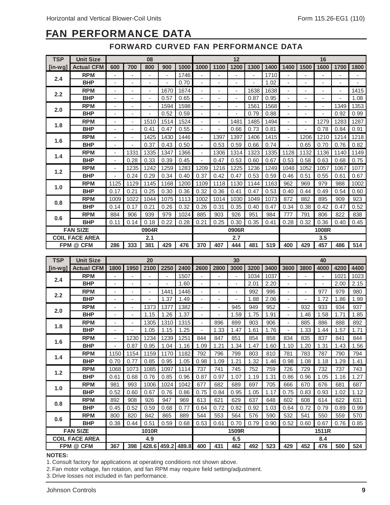### FAN PERFORMANCE DATA

FORWARD CURVED FAN PERFORMANCE DATA

| <b>TSP</b>               | <b>Unit Size</b>      | 08                       |                |       |      |      |                          |                          | 12   |                          |      | 16                       |                          |                          |      |      |
|--------------------------|-----------------------|--------------------------|----------------|-------|------|------|--------------------------|--------------------------|------|--------------------------|------|--------------------------|--------------------------|--------------------------|------|------|
| [in-wq]                  | <b>Actual CFM</b>     | 600                      | 700            | 800   | 900  | 1000 | 1000                     | 1100                     | 1200 | 1300                     | 1400 | 1400                     | 1500                     | 1600                     | 1700 | 1800 |
| 2.4                      | <b>RPM</b>            | ٠                        | ä,             | ٠     | ٠    | 1746 | ÷                        |                          | ä,   | $\overline{\phantom{a}}$ | 1710 |                          |                          |                          |      | ٠    |
|                          | <b>BHP</b>            | ٠                        | $\blacksquare$ | ٠     | ٠    | 0.70 | ٠                        | $\blacksquare$           | ٠    | ٠                        | 1.02 | $\blacksquare$           | $\blacksquare$           | ٠                        | ٠    | ٠    |
| 2.2                      | <b>RPM</b>            | ٠                        | $\blacksquare$ | ٠     | 1670 | 1674 | ٠                        | $\overline{\phantom{a}}$ | ٠    | 1638                     | 1638 | $\blacksquare$           | $\overline{\phantom{a}}$ | $\blacksquare$           | ٠    | 1415 |
|                          | <b>BHP</b>            | ٠                        | ٠              | ۰     | 0.57 | 0.65 | ٠                        | ٠                        | ٠    | 0.87                     | 0.95 | $\overline{\phantom{a}}$ | ٠                        | ٠                        |      | 1.08 |
| 2.0                      | <b>RPM</b>            | ٠                        | ٠              | ٠     | 1594 | 1598 | ٠                        | $\overline{\phantom{a}}$ | ٠    | 1561                     | 1568 | $\blacksquare$           | $\overline{\phantom{a}}$ | $\overline{\phantom{a}}$ | 1349 | 1353 |
|                          | <b>BHP</b>            | ٠                        | ٠              | ۰     | 0.52 | 0.59 | ٠                        | ٠                        | ٠    | 0.79                     | 0.88 | ٠                        | ٠                        |                          | 0.92 | 0.99 |
| 1.8                      | <b>RPM</b>            | ٠                        | ٠              | 1510  | 1514 | 1524 |                          | $\overline{\phantom{a}}$ | 1481 | 1485                     | 1494 |                          | ٠                        | 1279                     | 1283 | 1287 |
|                          | <b>BHP</b>            | ٠                        | ٠              | 0.41  | 0.47 | 0.55 | ٠                        |                          | 0.66 | 0.73                     | 0.81 | $\overline{\phantom{a}}$ |                          | 0.78                     | 0.84 | 0.91 |
| 1.6                      | <b>RPM</b>            | ٠                        | ٠              | 1425  | 1430 | 1446 | ä,                       | 1397                     | 1397 | 1406                     | 1415 |                          | 1206                     | 1210                     | 1214 | 1218 |
|                          | <b>BHP</b>            | ٠                        | ٠              | 0.37  | 0.43 | 0.50 | $\overline{\phantom{a}}$ | 0.53                     | 0.59 | 0.66                     | 0.74 |                          | 0.65                     | 0.70                     | 0.76 | 0.82 |
| 1.4                      | <b>RPM</b>            | $\blacksquare$           | 1331           | 1335  | 1347 | 1366 | $\sim$                   | 1306                     | 1314 | 1323                     | 1335 | 1128                     | 1132                     | 1136                     | 1140 | 1149 |
|                          | <b>BHP</b>            | $\overline{\phantom{a}}$ | 0.28           | 0.33  | 0.39 | 0.45 | ٠                        | 0.47                     | 0.53 | 0.60                     | 0.67 | 0.53                     | 0.58                     | 0.63                     | 0.68 | 0.75 |
| 1.2                      | <b>RPM</b>            | $\blacksquare$           | 1235           | 1242  | 1259 | 1283 | 1209                     | 1216                     | 1225 | 1236                     | 1249 | 1048                     | 1052                     | 1057                     | 1067 | 1077 |
|                          | <b>BHP</b>            | ٠                        | 0.24           | 0.29  | 0.34 | 0.40 | 0.37                     | 0.42                     | 0.47 | 0.53                     | 0.59 | 0.46                     | 0.51                     | 0.55                     | 0.61 | 0.67 |
| 1.0                      | <b>RPM</b>            | 1125                     | 1129           | 1145  | 1168 | 1200 | 1109                     | 1118                     | 1130 | 1144                     | 1163 | 962                      | 969                      | 979                      | 988  | 1002 |
|                          | <b>BHP</b>            | 0.17                     | 0.21           | 0.25  | 0.30 | 0.36 | 0.32                     | 0.36                     | 0.41 | 0.47                     | 0.53 | 0.40                     | 0.44                     | 0.49                     | 0.54 | 0.60 |
| 0.8                      | <b>RPM</b>            | 1009                     | 1022           | 1044  | 1075 | 1113 | 1002                     | 1014                     | 1030 | 1049                     | 1073 | 872                      | 882                      | 895                      | 909  | 923  |
|                          | <b>BHP</b>            | 0.14                     | 0.17           | 0.21  | 0.26 | 0.32 | 0.26                     | 0.31                     | 0.35 | 0.40                     | 0.47 | 0.34                     | 0.38                     | 0.42                     | 0.47 | 0.52 |
| 0.6                      | <b>RPM</b>            | 884                      | 906            | 939   | 979  | 1024 | 885                      | 903                      | 926  | 951                      | 984  | 777                      | 791                      | 806                      | 822  | 838  |
|                          | <b>BHP</b>            | 0.11                     | 0.14           | 0.18  | 0.22 | 0.28 | 0.21                     | 0.25                     | 0.30 | 0.35                     | 0.41 | 0.28                     | 0.32                     | 0.36                     | 0.40 | 0.45 |
| <b>FAN SIZE</b><br>0904R |                       |                          |                | 0906R |      |      |                          | 1008R                    |      |                          |      |                          |                          |                          |      |      |
|                          | <b>COIL FACE AREA</b> |                          |                | 2.1   |      |      |                          |                          | 2.7  |                          |      |                          |                          | 3.5                      |      |      |
|                          | FPM @ CFM             | 286                      | 333            | 381   | 429  | 476  | 370                      | 407                      | 444  | 481                      | 519  | 400                      | 429                      | 457                      | 486  | 514  |

| <b>TSP</b>                   | <b>Unit Size</b>  |                          | 20             |                          |       |       | 30                       |                |       |      | 40   |                          |      |                          |      |      |
|------------------------------|-------------------|--------------------------|----------------|--------------------------|-------|-------|--------------------------|----------------|-------|------|------|--------------------------|------|--------------------------|------|------|
| $[$ in-wg]                   | <b>Actual CFM</b> | 1800                     | 1950           | 2100                     | 2250  | 2400  | 2600                     | 2800           | 3000  | 3200 | 3400 | 3600                     | 3800 | 4000                     | 4200 | 4400 |
|                              | <b>RPM</b>        |                          |                |                          |       | 1507  |                          |                |       | 1034 | 1037 |                          |      | $\blacksquare$           | 1021 | 1023 |
| 2.4                          | <b>BHP</b>        | ٠                        | ٠              | ٠                        | ٠     | 1.60  | ٠                        | $\blacksquare$ | ٠     | 2.01 | 2.20 | $\overline{\phantom{a}}$ | ٠    | $\overline{\phantom{a}}$ | 2.00 | 2.15 |
| 2.2                          | <b>RPM</b>        | ٠                        | $\blacksquare$ | $\overline{\phantom{a}}$ | 1441  | 1446  | ÷,                       |                | ٠     | 992  | 996  | ٠                        | ٠    | 977                      | 979  | 980  |
|                              | <b>BHP</b>        | ٠                        | ٠              | ٠                        | 1.37  | 1.49  | ٠                        | $\blacksquare$ | ÷,    | 1.88 | 2.06 | $\overline{a}$           | ٠    | 1.72                     | 1.86 | 1.99 |
| 2.0                          | <b>RPM</b>        | ٠                        | ٠              | 1373                     | 1377  | 1382  | $\overline{\phantom{a}}$ | $\blacksquare$ | 945   | 949  | 952  | $\overline{a}$           | 932  | 933                      | 934  | 937  |
|                              | <b>BHP</b>        | ٠                        | ٠              | 1.15                     | 1.26  | 1.37  | $\blacksquare$           | $\overline{a}$ | 1.59  | 1.75 | 1.91 | $\overline{\phantom{a}}$ | 1.46 | 1.58                     | 1.71 | 1.85 |
| 1.8                          | <b>RPM</b>        | ٠                        | ٠              | 1305                     | 1310  | 1315  | $\overline{\phantom{a}}$ | 896            | 899   | 903  | 906  | $\overline{\phantom{a}}$ | 885  | 886                      | 888  | 892  |
|                              | <b>BHP</b>        | $\overline{\phantom{0}}$ | ٠              | 1.05                     | 1.15  | 1.25  | $\overline{\phantom{a}}$ | 1.33           | 1.47  | 1.61 | 1.76 | $\overline{\phantom{a}}$ | 1.33 | 1.44                     | 1.57 | 1.71 |
| 1.6                          | <b>RPM</b>        | ٠                        | 1230           | 1234                     | 1239  | 1251  | 844                      | 847            | 851   | 854  | 858  | 834                      | 835  | 837                      | 841  | 844  |
|                              | <b>BHP</b>        | ٠                        | 0.87           | 0.95                     | 1.04  | 1.16  | 1.09                     | 1.21           | 1.34  | 1.47 | 1.60 | 1.10                     | 1.20 | 1.31                     | 1.43 | 1.56 |
| 1.4                          | <b>RPM</b>        | 1150                     | 1154           | 1159                     | 1170  | 1182  | 792                      | 796            | 799   | 803  | 810  | 781                      | 783  | 787                      | 790  | 794  |
|                              | <b>BHP</b>        | 0.70                     | 0.77           | 0.85                     | 0.95  | 1.05  | 0.98                     | 1.09           | 1.21  | 1.32 | 1.46 | 0.98                     | 1.08 | 1.18                     | 1.29 | 1.41 |
| 1.2                          | <b>RPM</b>        | 1068                     | 1073           | 1085                     | 1097  | 1114  | 737                      | 741            | 745   | 752  | 759  | 726                      | 729  | 732                      | 737  | 743  |
|                              | <b>BHP</b>        | 0.61                     | 0.68           | 0.76                     | 0.85  | 0.96  | 0.87                     | 0.97           | 1.07  | 1.19 | 1.31 | 0.86                     | 0.96 | 1.05                     | 1.16 | 1.27 |
| 1.0                          | <b>RPM</b>        | 981                      | 993            | 1006                     | 1024  | 1042  | 677                      | 682            | 689   | 697  | 705  | 666                      | 670  | 676                      | 681  | 687  |
|                              | <b>BHP</b>        | 0.52                     | 0.60           | 0.67                     | 0.76  | 0.86  | 0.75                     | 0.84           | 0.95  | 1.05 | 1.17 | 0.75                     | 0.83 | 0.93                     | 1.02 | 1.12 |
| 0.8                          | <b>RPM</b>        | 892                      | 908            | 926                      | 947   | 969   | 613                      | 621            | 629   | 637  | 648  | 602                      | 608  | 614                      | 622  | 631  |
|                              | <b>BHP</b>        | 0.45                     | 0.52           | 0.59                     | 0.68  | 0.77  | 0.64                     | 0.72           | 0.82  | 0.92 | 1.03 | 0.64                     | 0.72 | 0.79                     | 0.89 | 0.99 |
| 0.6                          | <b>RPM</b>        | 800                      | 820            | 842                      | 865   | 889   | 544                      | 553            | 564   | 576  | 590  | 532                      | 541  | 550                      | 559  | 570  |
|                              | <b>BHP</b>        | 0.38                     | 0.44           | 0.51                     | 0.59  | 0.68  | 0.53                     | 0.61           | 0.70  | 0.79 | 0.90 | 0.52                     | 0.60 | 0.67                     | 0.76 | 0.85 |
| <b>FAN SIZE</b><br>1010R     |                   |                          |                |                          | 1509R |       |                          |                | 1511R |      |      |                          |      |                          |      |      |
| <b>COIL FACE AREA</b><br>4.9 |                   |                          |                | 6.5                      |       |       |                          |                |       | 8.4  |      |                          |      |                          |      |      |
| FPM @ CFM                    |                   | 367                      | 398            | 428.6                    | 459.2 | 489.8 | 400                      | 431            | 462   | 492  | 523  | 429                      | 452  | 476                      | 500  | 524  |

#### **NOTES:**

1. Consult factory for applications at operating conditions not shown above.

2. Fan motor voltage, fan rotation, and fan RPM may require field setting/adjustment.

3. Drive losses not included in fan performance.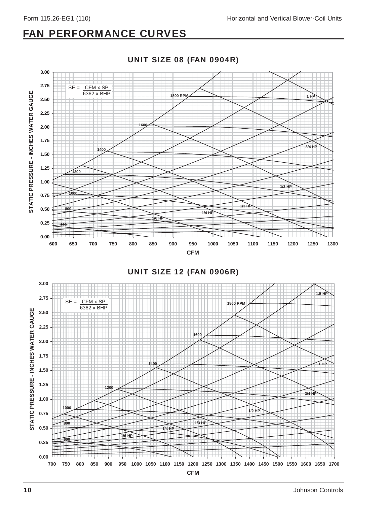### FAN PERFORMANCE CURVES



UNIT SIZE 12 (FAN 0906R)

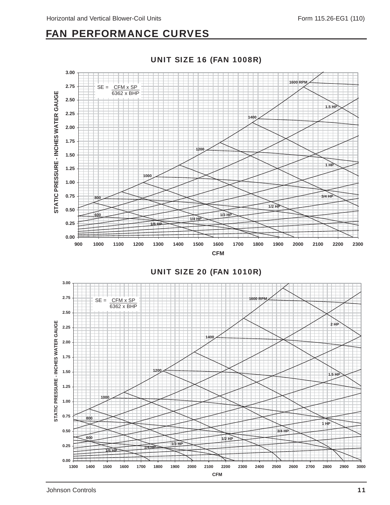### FAN PERFORMANCE CURVES



**1400**

**1300 1400 1500 1600 1700 1800 1900 2000 2100 2200 2300 2400 2500 2600 2700 2800 2900 3000 CFM**

**1/2 HP**

**3/4 HP**

**1 HP**

**1.5 HP**

**2 HP**

UNIT SIZE 16 (FAN 1008R)

**600**

**800**

**1000**

**1/6 HP**

**1200**

**1/4 HP**

**1/3 HP**

**0.00**

**0.25**

**0.50**

**0.75**

**1.00**

**1.25**

**1.50**

**STATIC PRESSURE - INCHES WATER GAUGE**

STATIC PRESSURE - INCHES WATER GAUGE

**1.75**

**2.00**

**2.25**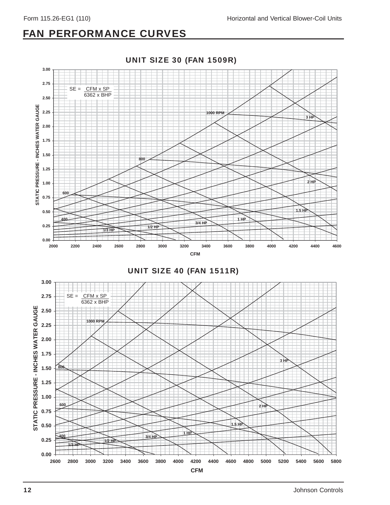### FAN PERFORMANCE CURVES

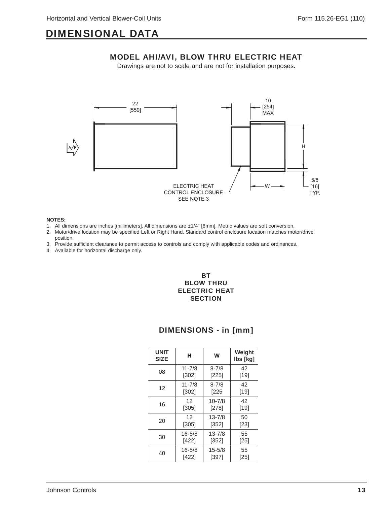MODEL AHI/AVI, BLOW THRU ELECTRIC HEAT Drawings are not to scale and are not for installation purposes.



#### **NOTES:**

- 1. All dimensions are inches [millimeters]. All dimensions are ±1/4" [6mm]. Metric values are soft conversion.
- 2. Motor/drive location may be specified Left or Right Hand. Standard control enclosure location matches motor/drive position.
- 3. Provide sufficient clearance to permit access to controls and comply with applicable codes and ordinances.
- 4. Available for horizontal discharge only.

### BT BLOW THRU ELECTRIC HEAT **SECTION**

| <b>UNIT</b><br><b>SIZE</b> | н          | W          | Weight<br>lbs [kg] |
|----------------------------|------------|------------|--------------------|
| 08                         | $11 - 7/8$ | $8 - 7/8$  | 42                 |
|                            | [302]      | $[225]$    | [19]               |
| 12                         | $11 - 7/8$ | $8 - 7/8$  | 42                 |
|                            | $[302]$    | $[225$     | [19]               |
| 16                         | 12         | $10 - 7/8$ | 42                 |
|                            | [305]      | $[278]$    | [19]               |
| 20                         | 12         | $13 - 7/8$ | 50                 |
|                            | [305]      | [352]      | [23]               |
| 30                         | $16 - 5/8$ | $13 - 7/8$ | 55                 |
|                            | [422]      | [352]      | $[25]$             |
| 40                         | $16 - 5/8$ | $15 - 5/8$ | 55                 |
|                            | [422]      | [397]      | [25]               |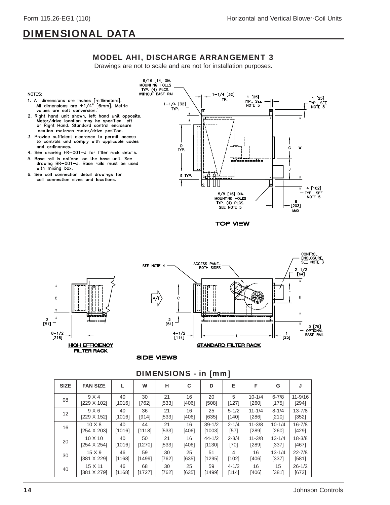### MODEL AHI, DISCHARGE ARRANGEMENT 3

Drawings are not to scale and are not for installation purposes.



- 1. All dimensions are lnches [millimeters].<br>All dimensions are  $\pm 1/4$ " [6mm]. Metric values are soft conversion.
- 2. Right hand unit shown, left hand unit opposite. Motor/drive location may be specified Left or Right Hand. Standard control enclosure location matches motor/drive position.
- 3. Provide sufficient clearance to permit access to controls and comply with applicable codes and ordinances.
- 4. See drawing FR-001-J for filter rack details.
- 5. Base rail is optional on the base unit. See drawing BR-001-J. Base rails must be used with mixing box.
- 6. See coil connection detail drawings for coil connection sizes and locations.



**TOP VIEW** 





#### **SIDE VIEWS**

| <b>SIZE</b> | <b>FAN SIZE</b>    |        | W       | н     | C       | D          | Е         | F          | G          | J           |
|-------------|--------------------|--------|---------|-------|---------|------------|-----------|------------|------------|-------------|
| 08          | 9 X 4              | 40     | 30      | 21    | 16      | 20         | 5         | $10 - 1/4$ | $6 - 7/8$  | $11 - 9/16$ |
|             | [229 X 102]        | [1016] | [762]   | [533] | [406]   | [508]      | [127]     | [260]      | [175]      | [294]       |
| 12          | 9X6                | 40     | 36      | 21    | 16      | 25         | $5 - 1/2$ | $11 - 1/4$ | $8 - 1/4$  | $13 - 7/8$  |
|             | [229 X 152]        | [1016] | $[914]$ | [533] | $[406]$ | [635]      | [140]     | [286]      | [210]      | $[352]$     |
| 16          | $10 \times 8$      | 40     | 44      | 21    | 16      | $39 - 1/2$ | $2 - 1/4$ | $11 - 3/8$ | $10 - 1/4$ | $16 - 7/8$  |
|             | [254 X 203]        | [1016] | [1118]  | [533] | [406]   | [1003]     | $[57]$    | [289]      | [260]      | [429]       |
| 20          | $10 \times 10$     | 40     | 50      | 21    | 16      | $44 - 1/2$ | $2 - 3/4$ | $11 - 3/8$ | $13 - 1/4$ | $18 - 3/8$  |
|             | $[254 \times 254]$ | [1016] | [1270]  | [533] | [406]   | [1130]     | [70]      | [289]      | [337]      | [467]       |
| 30          | $15 \times 9$      | 46     | 59      | 30    | 25      | 51         | 4         | 16         | $13 - 1/4$ | $22 - 7/8$  |
|             | [381 X 229]        | [1168] | [1499]  | [762] | [635]   | [1295]     | [102]     | $[406]$    | [337]      | [581]       |
| 40          | 15 X 11            | 46     | 68      | 30    | 25      | 59         | $4 - 1/2$ | 16         | 15         | $26 - 1/2$  |
|             | [381 X 279]        | [1168] | [1727]  | [762] | [635]   | [1499]     | [114]     | [406]      | [381]      | [673]       |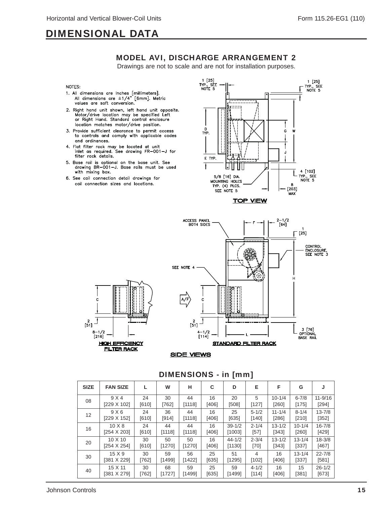### MODEL AVI, DISCHARGE ARRANGEMENT 2

Drawings are not to scale and are not for installation purposes.

#### NOTES:

- 1. All dimensions are Inches [millimeters].<br>All dimensions are  $\pm 1/4$ " [6mm]. Metric<br>values are soft conversion.
- 2. Right hand unit shown, left hand unit opposite.<br>Motor/drive location may be specified Left<br>or Right Hand. Standard control enclosure location matches motor/drive position.
- 3. Provide sufficient clearance to permit access to controls and comply with applicable codes and ordinances.
- 4. Flat filter rack may be located at unit<br>inlet as required. See drawing FR-001-J for filter rack details.
- 5. Base rail is optional on the base unit. See<br>drawing BR-001-J. Base rails must be used with mixing box.
- 6. See coil connection detail drawings for coil connection sizes and locations.





### $\mathbf c$  $\frac{2}{51}$  $8 - 1/2$  $[216]$ **HIGH EFFICIENCY FILTER RACK**

**SIDE VIEWS** 

| <b>SIZE</b>       | <b>FAN SIZE</b>    |       | W      | н      | C       | D          | Е         | F          | G          | J           |
|-------------------|--------------------|-------|--------|--------|---------|------------|-----------|------------|------------|-------------|
| 08                | 9 X 4              | 24    | 30     | 44     | 16      | 20         | 5         | $10 - 1/4$ | $6 - 7/8$  | $11 - 9/16$ |
|                   | [229 X 102]        | [610] | [762]  | [1118] | $[406]$ | [508]      | [127]     | [260]      | [175]      | [294]       |
| $12 \overline{ }$ | 9 X 6              | 24    | 36     | 44     | 16      | 25         | $5 - 1/2$ | $11 - 1/4$ | $8 - 1/4$  | $13 - 7/8$  |
|                   | [229 X 152]        | [610] | [914]  | [1118] | $[406]$ | [635]      | [140]     | $[286]$    | [210]      | [352]       |
| 16                | $10 \times 8$      | 24    | 44     | 44     | 16      | $39 - 1/2$ | $2 - 1/4$ | $13 - 1/2$ | $10 - 1/4$ | $16 - 7/8$  |
|                   | [254 X 203]        | [610] | [1118] | [1118] | [406]   | [1003]     | $[57]$    | [343]      | [260]      | [429]       |
| 20                | $10 \times 10$     | 30    | 50     | 50     | 16      | $44 - 1/2$ | $2 - 3/4$ | $13 - 1/2$ | $13 - 1/4$ | $18 - 3/8$  |
|                   | $[254 \times 254]$ | [610] | [1270] | [1270] | [406]   | [1130]     | $[70]$    | [343]      | [337]      | [467]       |
| 30                | $15 \times 9$      | 30    | 59     | 56     | 25      | 51         | 4         | 16         | $13 - 1/4$ | $22 - 7/8$  |
|                   | [381 X 229]        | [762] | [1499] | [1422] | [635]   | [1295]     | [102]     | [406]      | [337]      | [581]       |
| 40                | 15 X 11            | 30    | 68     | 59     | 25      | 59         | $4 - 1/2$ | 16         | 15         | $26 - 1/2$  |
|                   | [381 X 279]        | [762] | [1727] | [1499] | [635]   | [1499]     | [114]     | [406]      | [381]      | [673]       |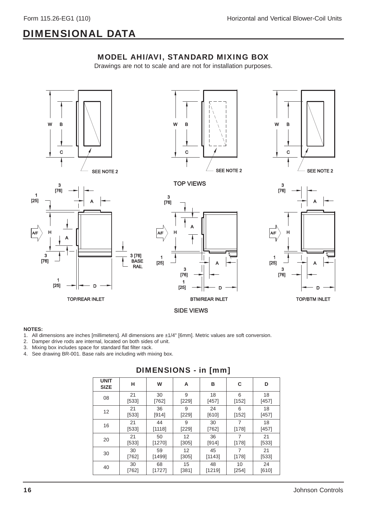



#### **NOTES:**

- 1. All dimensions are inches [millimeters]. All dimensions are ±1/4" [6mm]. Metric values are soft conversion.
- 2. Damper drive rods are internal, located on both sides of unit.
- 3. Mixing box includes space for standard flat filter rack.
- 4. See drawing BR-001. Base rails are including with mixing box.

| <b>UNIT</b><br><b>SIZE</b> | н       | W      | A       | в       | С              | D       |
|----------------------------|---------|--------|---------|---------|----------------|---------|
| 08                         | 21      | 30     | 9       | 18      | 6              | 18      |
|                            | [533]   | [762]  | [229]   | [457]   | [152]          | [457]   |
| 12                         | 21      | 36     | 9       | 24      | 6              | 18      |
|                            | [533]   | [914]  | $[229]$ | [610]   | [152]          | [457]   |
| 16                         | 21      | 44     | 9       | 30      | 7              | 18      |
|                            | $[533]$ | [1118] | $[229]$ | $[762]$ | [178]          | [457]   |
| 20                         | 21      | 50     | 12      | 36      | $\overline{7}$ | 21      |
|                            | [533]   | [1270] | [305]   | [914]   | [178]          | [533]   |
| 30                         | 30      | 59     | 12      | 45      | 7              | 21      |
|                            | $[762]$ | [1499] | $[305]$ | [1143]  | [178]          | $[533]$ |
| 40                         | 30      | 68     | 15      | 48      | 10             | 24      |
|                            | $[762]$ | [1727] | [381]   | [1219]  | [254]          | [610]   |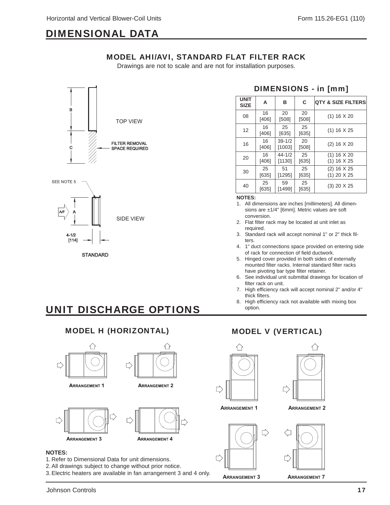MODEL AHI/AVI, STANDARD FLAT FILTER RACK Drawings are not to scale and are not for installation purposes.





**STANDARD** 

### DIMENSIONS - in [mm]

| <b>UNIT</b><br><b>SIZE</b> | A             | в                    | С             | <b>QTY &amp; SIZE FILTERS</b>      |
|----------------------------|---------------|----------------------|---------------|------------------------------------|
| 08                         | 16<br>$[406]$ | 20<br>[508]          | 20<br>[508]   | (1) 16 X 20                        |
| 12                         | 16<br>$[406]$ | 25<br>[635]          | 25<br>[635]   | $(1)$ 16 X 25                      |
| 16                         | 16<br>$[406]$ | $39 - 1/2$<br>[1003] | 20<br>[508]   | $(2)$ 16 $X$ 20                    |
| 20                         | 16<br>$[406]$ | $44 - 1/2$<br>[1130] | 25<br>[635]   | (1) 16 X 20<br>(1) 16 X 25         |
| 30                         | 25<br>$[635]$ | 51<br>[1295]         | 25<br>$[635]$ | $(2)$ 16 $X$ 25<br>$(1)$ 20 $X$ 25 |
| 40                         | 25<br>[635]   | 59<br>[1499]         | 25<br>[635]   | $(3)$ 20 $\times$ 25               |

**NOTES:**

- 1. All dimensions are inches [millimeters]. All dimensions are ±1/4" [6mm]. Metric values are soft conversion.
- 2. Flat filter rack may be located at unit inlet as required.
- 3. Standard rack will accept nominal 1" or 2" thick filters.
- 4. 1" duct connections space provided on entering side of rack for connection of field ductwork.
- 5. Hinged cover provided in both sides of externally mounted filter racks. Internal standard filter racks have pivoting bar type filter retainer.
- 6. See individual unit submittal drawings for location of filter rack on unit.
- 7. High efficiency rack will accept nominal 2" and/or 4" thick filters.
- 8. High efficiency rack not available with mixing box option.

## UNIT DISCHARGE OPTIONS

### MODEL H (HORIZONTAL) MODEL V (VERTICAL)



**ARRANGEMENT 1** 



**ARRANGEMENT 2** 



#### **NOTES:**

- 1. Refer to Dimensional Data for unit dimensions.
- 2. All drawings subject to change without prior notice.
- 3. Electric heaters are available in fan arrangement 3 and 4 only.







**ARRANGEMENT 1 ARRANGEMENT 2**



**ARRANGEMENT 3 ARRANGEMENT 7**

Johnson Controls 17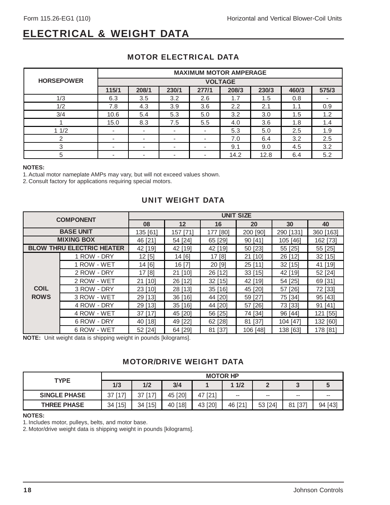### ELECTRICAL & WEIGHT DATA

|                   | <b>MAXIMUM MOTOR AMPERAGE</b> |                          |                          |                          |       |       |       |       |  |  |
|-------------------|-------------------------------|--------------------------|--------------------------|--------------------------|-------|-------|-------|-------|--|--|
| <b>HORSEPOWER</b> | <b>VOLTAGE</b>                |                          |                          |                          |       |       |       |       |  |  |
|                   | 115/1                         | 208/1                    | 230/1                    | 277/1                    | 208/3 | 230/3 | 460/3 | 575/3 |  |  |
| 1/3               | 6.3                           | 3.5                      | 3.2                      | 2.6                      | 1.7   | 1.5   | 0.8   |       |  |  |
| 1/2               | 7.8                           | 4.3                      | 3.9                      | 3.6                      | 2.2   | 2.1   | 1.1   | 0.9   |  |  |
| 3/4               | 10.6                          | 5.4                      | 5.3                      | 5.0                      | 3.2   | 3.0   | 1.5   | 1.2   |  |  |
|                   | 15.0                          | 8.3                      | 7.5                      | 5.5                      | 4.0   | 3.6   | 1.8   | 1.4   |  |  |
| 11/2              | $\overline{\phantom{0}}$      | $\overline{\phantom{a}}$ | $\overline{\phantom{a}}$ | $\overline{\phantom{a}}$ | 5.3   | 5.0   | 2.5   | 1.9   |  |  |
| 2                 |                               | $\overline{\phantom{a}}$ | $\overline{\phantom{a}}$ | $\overline{\phantom{a}}$ | 7.0   | 6.4   | 3.2   | 2.5   |  |  |
| 3                 | -                             | $\overline{\phantom{a}}$ | $\overline{\phantom{a}}$ | $\overline{\phantom{a}}$ | 9.1   | 9.0   | 4.5   | 3.2   |  |  |
| 5                 |                               | $\overline{\phantom{a}}$ | $\overline{\phantom{0}}$ | $\overline{\phantom{0}}$ | 14.2  | 12.8  | 6.4   | 5.2   |  |  |

### MOTOR ELECTRICAL DATA

#### **NOTES:**

1. Actual motor nameplate AMPs may vary, but will not exceed values shown.

2. Consult factory for applications requiring special motors.

### UNIT WEIGHT DATA

| <b>COMPONENT</b>                 |             | <b>UNIT SIZE</b> |          |           |           |           |           |  |  |
|----------------------------------|-------------|------------------|----------|-----------|-----------|-----------|-----------|--|--|
|                                  |             | 08               | 12       | 16        | 20        | 30        | 40        |  |  |
| <b>BASE UNIT</b>                 |             | 135 [61]         | 157 [71] | 177 [80]  | 200 [90]  | 290 [131] | 360 [163] |  |  |
| <b>MIXING BOX</b>                |             | 46 [21]          | 54 [24]  | 65 [29]   | 90 [41]   | 105 [46]  | 162 [73]  |  |  |
| <b>BLOW THRU ELECTRIC HEATER</b> |             | 42 [19]          | 42 [19]  | 42 [19]   | 50 [23]   | 55 [25]   | 55 [25]   |  |  |
| <b>COIL</b><br><b>ROWS</b>       | 1 ROW - DRY | 12[5]            | 14 [6]   | 17 [8]    | 21 [10]   | 26 [12]   | $32$ [15] |  |  |
|                                  | 1 ROW - WET | 14 [6]           | 16 [7]   | 20 [9]    | $25$ [11] | $32$ [15] | 41 [19]   |  |  |
|                                  | 2 ROW - DRY | 17 [8]           | 21 [10]  | 26 [12]   | 33[15]    | 42 [19]   | 52 [24]   |  |  |
|                                  | 2 ROW - WET | 21 [10]          | 26 [12]  | $32$ [15] | 42 [19]   | 54 [25]   | 69 [31]   |  |  |
|                                  | 3 ROW - DRY | 23 [10]          | 28 [13]  | 35 [16]   | 45 [20]   | 57 [26]   | 72 [33]   |  |  |
|                                  | 3 ROW - WET | 29 [13]          | 36 [16]  | 44 [20]   | 59 [27]   | 75 [34]   | 95 [43]   |  |  |
|                                  | 4 ROW - DRY | 29 [13]          | 35 [16]  | 44 [20]   | 57 [26]   | 73 [33]   | 91 [41]   |  |  |
|                                  | 4 ROW - WET | $37$ [17]        | 45 [20]  | 56 [25]   | 74 [34]   | 96 [44]   | 121 [55]  |  |  |
|                                  | 6 ROW - DRY | 40 [18]          | 49 [22]  | 62 [28]   | 81 [37]   | 104 [47]  | 132 [60]  |  |  |
|                                  | 6 ROW - WET | 52 [24]          | 64 [29]  | 81 [37]   | 106 [48]  | 138 [63]  | 178 [81]  |  |  |

**NOTE:** Unit weight data is shipping weight in pounds [kilograms].

### MOTOR/DRIVE WEIGHT DATA

|                     | <b>MOTOR HP</b> |         |         |         |                          |         |              |         |  |
|---------------------|-----------------|---------|---------|---------|--------------------------|---------|--------------|---------|--|
| <b>TYPE</b>         | 1/3             | 1/2     | 3/4     |         | 11/2                     |         | u            |         |  |
| <b>SINGLE PHASE</b> | 37 [17]         | 37 [17] | 45 [20] | 47 [21] | $\overline{\phantom{m}}$ | --      | $-$          | --      |  |
| <b>THREE PHASE</b>  | 34 [15]         | 34 [15] | 40 [18] | 43 [20] | 46 [21'                  | 53 [24] | $[37]$<br>81 | 94 [43] |  |

#### **NOTES:**

1. Includes motor, pulleys, belts, and motor base.

2. Motor/drive weight data is shipping weight in pounds [kilograms].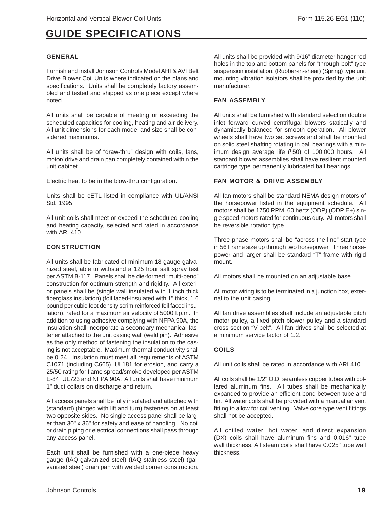### GUIDE SPECIFICATIONS

### GENERAL

Furnish and install Johnson Controls Model AHI & AVI Belt Drive Blower Coil Units where indicated on the plans and specifications. Units shall be completely factory assembled and tested and shipped as one piece except where noted.

All units shall be capable of meeting or exceeding the scheduled capacities for cooling, heating and air delivery. All unit dimensions for each model and size shall be considered maximums.

All units shall be of "draw-thru" design with coils, fans, motor/ drive and drain pan completely contained within the unit cabinet.

Electric heat to be in the blow-thru configuration.

Units shall be cETL listed in compliance with UL/ANSI Std. 1995.

All unit coils shall meet or exceed the scheduled cooling and heating capacity, selected and rated in accordance with ARI 410.

### CONSTRUCTION

All units shall be fabricated of minimum 18 gauge galvanized steel, able to withstand a 125 hour salt spray test per ASTM B-117. Panels shall be die-formed "multi-bend" construction for optimum strength and rigidity. All exterior panels shall be (single wall insulated with 1 inch thick fiberglass insulation) (foil faced-insulated with 1" thick, 1.6 pound per cubic foot density scrim reinforced foil faced insulation), rated for a maximum air velocity of 5000 f.p.m. In addition to using adhesive complying with NFPA 90A, the insulation shall incorporate a secondary mechanical fastener attached to the unit casing wall (weld pin). Adhesive as the only method of fastening the insulation to the casing is not acceptable. Maximum thermal conductivity shall be 0.24. Insulation must meet all requirements of ASTM C1071 (including C665), UL181 for erosion, and carry a 25/50 rating for flame spread/smoke developed per ASTM E-84, UL723 and NFPA 90A. All units shall have minimum 1" duct collars on discharge and return.

All access panels shall be fully insulated and attached with (standard) (hinged with lift and turn) fasteners on at least two opposite sides. No single access panel shall be larger than 30" x 36" for safety and ease of handling. No coil or drain piping or electrical connections shall pass through any access panel.

Each unit shall be furnished with a one-piece heavy gauge (IAQ galvanized steel) (IAQ stainless steel) (galvanized steel) drain pan with welded corner construction.

All units shall be provided with 9/16" diameter hanger rod holes in the top and bottom panels for "through-bolt" type suspension installation. (Rubber-in-shear) (Spring) type unit mounting vibration isolators shall be provided by the unit manufacturer.

### FAN ASSEMBLY

All units shall be furnished with standard selection double inlet forward curved centrifugal blowers statically and dynamically balanced for smooth operation. All blower wheels shall have two set screws and shall be mounted on solid steel shafting rotating in ball bearings with a minimum design average life (L50) of 100,000 hours. All standard blower assemblies shall have resilient mounted cartridge type permanently lubricated ball bearings.

### FAN MOTOR & DRIVE ASSEMBLY

All fan motors shall be standard NEMA design motors of the horsepower listed in the equipment schedule. All motors shall be 1750 RPM, 60 hertz (ODP) (ODP E+) single speed motors rated for continuous duty. All motors shall be reversible rotation type.

Three phase motors shall be "across-the-line" start type in 56 Frame size up through two horsepower. Three horsepower and larger shall be standard "T" frame with rigid mount.

All motors shall be mounted on an adjustable base.

All motor wiring is to be terminated in a junction box, external to the unit casing.

All fan drive assemblies shall include an adjustable pitch motor pulley, a fixed pitch blower pulley and a standard cross section "V-belt". All fan drives shall be selected at a minimum service factor of 1.2.

#### COILS

All unit coils shall be rated in accordance with ARI 410.

All coils shall be 1/2" O.D. seamless copper tubes with collared aluminum fins. All tubes shall be mechanically expanded to provide an efficient bond between tube and fin. All water coils shall be provided with a manual air vent fitting to allow for coil venting. Valve core type vent fittings shall not be accepted.

All chilled water, hot water, and direct expansion (DX) coils shall have aluminum fins and 0.016" tube wall thickness. All steam coils shall have 0.025" tube wall thickness.